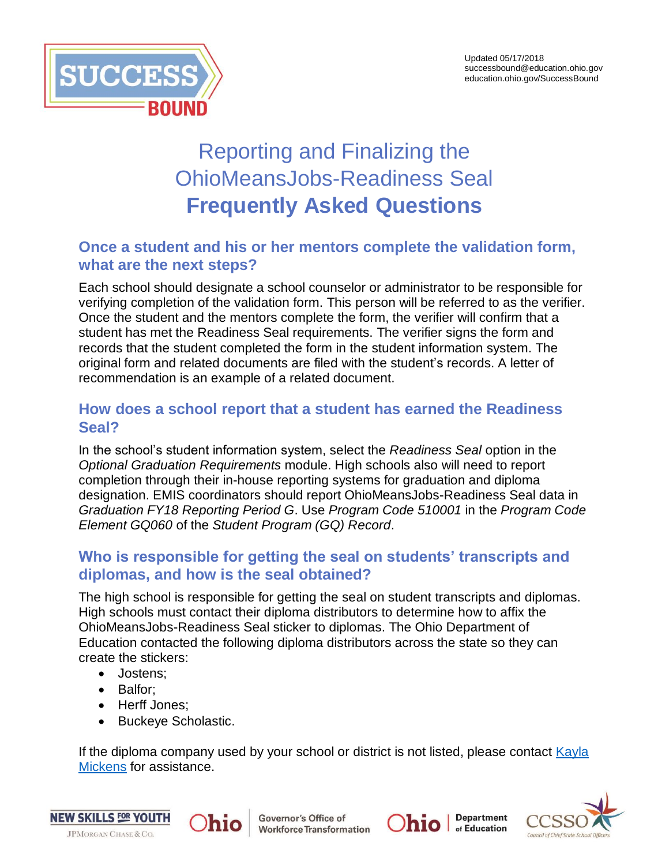

# Reporting and Finalizing the OhioMeansJobs-Readiness Seal **Frequently Asked Questions**

# **Once a student and his or her mentors complete the validation form, what are the next steps?**

Each school should designate a school counselor or administrator to be responsible for verifying completion of the validation form. This person will be referred to as the verifier. Once the student and the mentors complete the form, the verifier will confirm that a student has met the Readiness Seal requirements. The verifier signs the form and records that the student completed the form in the student information system. The original form and related documents are filed with the student's records. A letter of recommendation is an example of a related document.

# **How does a school report that a student has earned the Readiness Seal?**

In the school's student information system, select the *Readiness Seal* option in the *Optional Graduation Requirements* module. High schools also will need to report completion through their in-house reporting systems for graduation and diploma designation. EMIS coordinators should report OhioMeansJobs-Readiness Seal data in *Graduation FY18 Reporting Period G*. Use *Program Code 510001* in the *Program Code Element GQ060* of the *Student Program (GQ) Record*.

# **Who is responsible for getting the seal on students' transcripts and diplomas, and how is the seal obtained?**

The high school is responsible for getting the seal on student transcripts and diplomas. High schools must contact their diploma distributors to determine how to affix the OhioMeansJobs-Readiness Seal sticker to diplomas. The Ohio Department of Education contacted the following diploma distributors across the state so they can create the stickers:

- Jostens;
- Balfor;
- Herff Jones;
- Buckeye Scholastic.

hio

If the diploma company used by your school or district is not listed, please contact [Kayla](mailto:kayla.mickens@education.ohio.gov?subject=OhoMeansJobs-Readiness%20Seal%20-%20Diploma%20distributor)  [Mickens](mailto:kayla.mickens@education.ohio.gov?subject=OhoMeansJobs-Readiness%20Seal%20-%20Diploma%20distributor) for assistance.